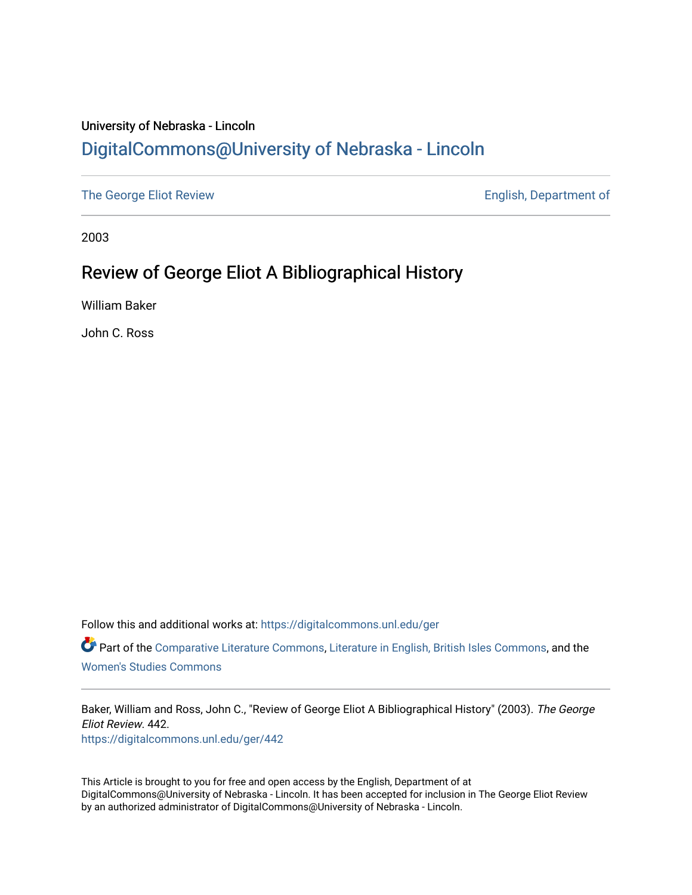## University of Nebraska - Lincoln [DigitalCommons@University of Nebraska - Lincoln](https://digitalcommons.unl.edu/)

[The George Eliot Review](https://digitalcommons.unl.edu/ger) **English, Department of** 

2003

## Review of George Eliot A Bibliographical History

William Baker

John C. Ross

Follow this and additional works at: [https://digitalcommons.unl.edu/ger](https://digitalcommons.unl.edu/ger?utm_source=digitalcommons.unl.edu%2Fger%2F442&utm_medium=PDF&utm_campaign=PDFCoverPages) 

Part of the [Comparative Literature Commons](http://network.bepress.com/hgg/discipline/454?utm_source=digitalcommons.unl.edu%2Fger%2F442&utm_medium=PDF&utm_campaign=PDFCoverPages), [Literature in English, British Isles Commons,](http://network.bepress.com/hgg/discipline/456?utm_source=digitalcommons.unl.edu%2Fger%2F442&utm_medium=PDF&utm_campaign=PDFCoverPages) and the [Women's Studies Commons](http://network.bepress.com/hgg/discipline/561?utm_source=digitalcommons.unl.edu%2Fger%2F442&utm_medium=PDF&utm_campaign=PDFCoverPages)

Baker, William and Ross, John C., "Review of George Eliot A Bibliographical History" (2003). The George Eliot Review. 442. [https://digitalcommons.unl.edu/ger/442](https://digitalcommons.unl.edu/ger/442?utm_source=digitalcommons.unl.edu%2Fger%2F442&utm_medium=PDF&utm_campaign=PDFCoverPages) 

This Article is brought to you for free and open access by the English, Department of at DigitalCommons@University of Nebraska - Lincoln. It has been accepted for inclusion in The George Eliot Review by an authorized administrator of DigitalCommons@University of Nebraska - Lincoln.